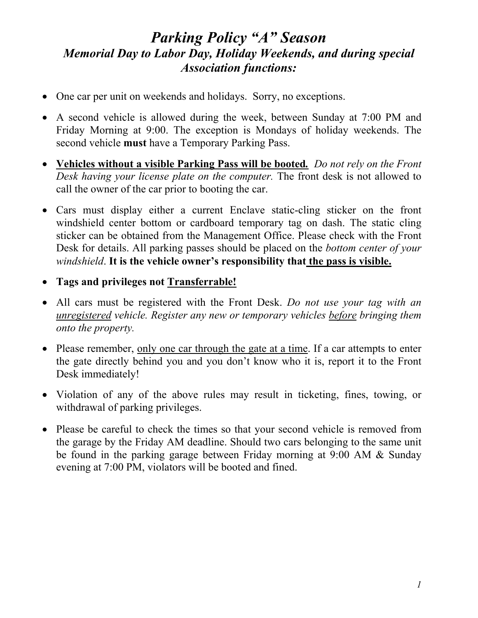## *Parking Policy "A" Season Memorial Day to Labor Day, Holiday Weekends, and during special Association functions:*

- One car per unit on weekends and holidays. Sorry, no exceptions.
- A second vehicle is allowed during the week, between Sunday at 7:00 PM and Friday Morning at 9:00. The exception is Mondays of holiday weekends. The second vehicle **must** have a Temporary Parking Pass.
- **Vehicles without a visible Parking Pass will be booted***. Do not rely on the Front Desk having your license plate on the computer.* The front desk is not allowed to call the owner of the car prior to booting the car.
- Cars must display either a current Enclave static-cling sticker on the front windshield center bottom or cardboard temporary tag on dash. The static cling sticker can be obtained from the Management Office. Please check with the Front Desk for details. All parking passes should be placed on the *bottom center of your windshield*. **It is the vehicle owner's responsibility that the pass is visible.**
- **Tags and privileges not Transferrable!**
- All cars must be registered with the Front Desk. *Do not use your tag with an unregistered vehicle. Register any new or temporary vehicles before bringing them onto the property.*
- Please remember, only one car through the gate at a time. If a car attempts to enter the gate directly behind you and you don't know who it is, report it to the Front Desk immediately!
- Violation of any of the above rules may result in ticketing, fines, towing, or withdrawal of parking privileges.
- Please be careful to check the times so that your second vehicle is removed from the garage by the Friday AM deadline. Should two cars belonging to the same unit be found in the parking garage between Friday morning at 9:00 AM & Sunday evening at 7:00 PM, violators will be booted and fined.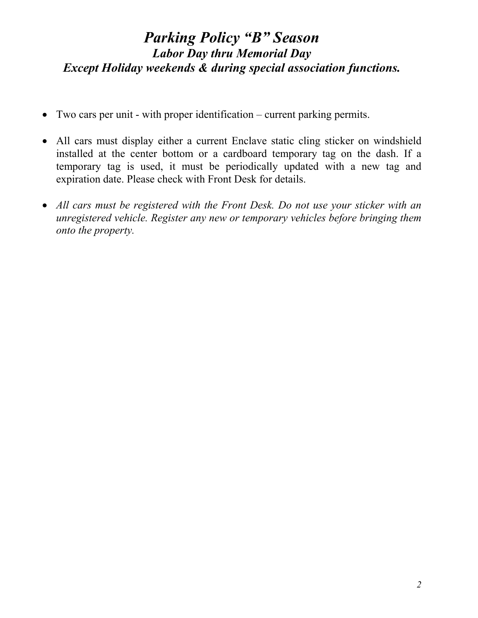## *Parking Policy "B" Season Labor Day thru Memorial Day Except Holiday weekends & during special association functions.*

- Two cars per unit with proper identification current parking permits.
- All cars must display either a current Enclave static cling sticker on windshield installed at the center bottom or a cardboard temporary tag on the dash. If a temporary tag is used, it must be periodically updated with a new tag and expiration date. Please check with Front Desk for details.
- *All cars must be registered with the Front Desk. Do not use your sticker with an unregistered vehicle. Register any new or temporary vehicles before bringing them onto the property.*